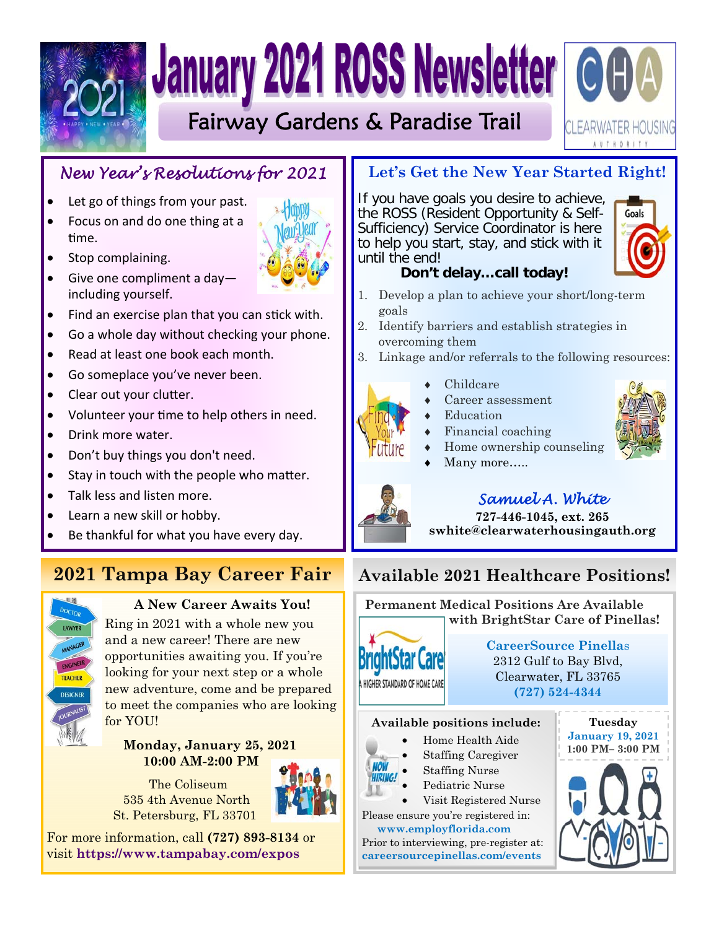

# **January 2021 ROSS Newsletter GOA**

Fairway Gardens & Paradise Trail

# *New Year's Resolutions for 2021*

- Let go of things from your past.
- Focus on and do one thing at a time.
- Stop complaining.
- Give one compliment a dayincluding yourself.
- Find an exercise plan that you can stick with.
- Go a whole day without checking your phone.
- Read at least one book each month.
- Go someplace you've never been.
- Clear out your clutter.
- Volunteer your time to help others in need.
- Drink more water.
- Don't buy things you don't need.
- Stay in touch with the people who matter.
- Talk less and listen more.
- Learn a new skill or hobby.
- Be thankful for what you have every day.

# **2021 Tampa Bay Career Fair**



#### **A New Career Awaits You!**

Ring in 2021 with a whole new you and a new career! There are new opportunities awaiting you. If you're looking for your next step or a whole new adventure, come and be prepared to meet the companies who are looking for YOU!

 **Monday, January 25, 2021 10:00 AM-2:00 PM** 

 The Coliseum 535 4th Avenue North St. Petersburg, FL 33701



For more information, call **(727) 893-8134** or visit **https://www.tampabay.com/expos**

### **Let's Get the New Year Started Right!**

If you have goals you desire to achieve, the ROSS (Resident Opportunity & Self-Sufficiency) Service Coordinator is here to help you start, stay, and stick with it until the end!



:LEARWATER HOUSING **AUTHORITY** 

#### **Don't delay…call today!**

- 1. Develop a plan to achieve your short/long-term goals
- 2. Identify barriers and establish strategies in overcoming them
- 3. Linkage and/or referrals to the following resources:



#### Financial coaching

Childcare

- Home ownership counseling
- Many more…..
- 



#### **727-446-1045, ext. 265 swhite@clearwaterhousingauth.org**

# **Available 2021 Healthcare Positions!**

 **Permanent Medical Positions Are Available with BrightStar Care of Pinellas!** 



**CareerSource Pinella**s 2312 Gulf to Bay Blvd, Clearwater, FL 33765 **(727) 524-4344** 

#### **Available positions include:**

- Home Health Aide
	- $\bullet$  Staffing Caregiver  $\begin{bmatrix} 1.00 \text{ } \text{Pr} \end{bmatrix}$
	- $\bullet$  Staffing Nurse
	- Pediatric Nurse
- Pediatric Nurse  $\bullet$  Visit Registered Nurse

Please ensure you're registered in:  **www.employflorida.com**

 $\begin{bmatrix} \text{w w w.c.mproj.} \\ \text{Prior to interviewing, pre-register at:} \end{bmatrix}$ **careersourcepinellas.com/events** 



**Tuesday** 





# Career assessment Education